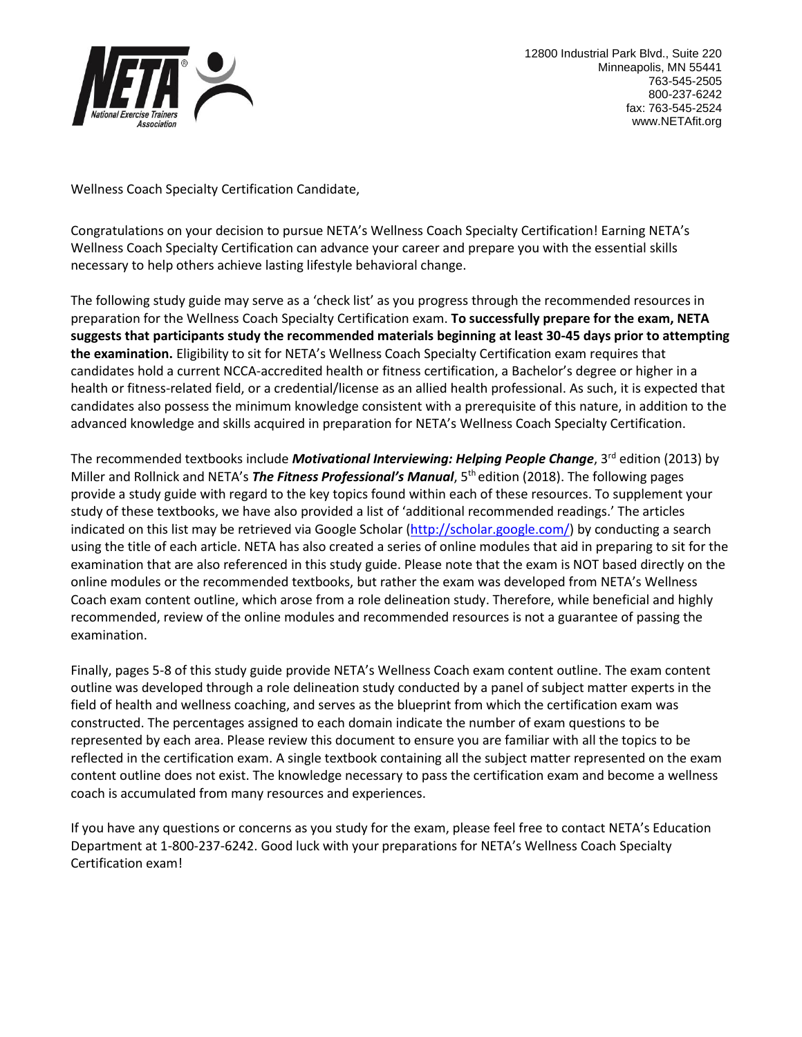

Wellness Coach Specialty Certification Candidate,

Congratulations on your decision to pursue NETA's Wellness Coach Specialty Certification! Earning NETA's Wellness Coach Specialty Certification can advance your career and prepare you with the essential skills necessary to help others achieve lasting lifestyle behavioral change.

The following study guide may serve as a 'check list' as you progress through the recommended resources in preparation for the Wellness Coach Specialty Certification exam. **To successfully prepare for the exam, NETA suggests that participants study the recommended materials beginning at least 30-45 days prior to attempting the examination.** Eligibility to sit for NETA's Wellness Coach Specialty Certification exam requires that candidates hold a current NCCA-accredited health or fitness certification, a Bachelor's degree or higher in a health or fitness-related field, or a credential/license as an allied health professional. As such, it is expected that candidates also possess the minimum knowledge consistent with a prerequisite of this nature, in addition to the advanced knowledge and skills acquired in preparation for NETA's Wellness Coach Specialty Certification.

The recommended textbooks include **Motivational Interviewing: Helping People Change**, 3<sup>rd</sup> edition (2013) by Miller and Rollnick and NETA's *The Fitness Professional's Manual*, 5th edition (2018). The following pages provide a study guide with regard to the key topics found within each of these resources. To supplement your study of these textbooks, we have also provided a list of 'additional recommended readings.' The articles indicated on this list may be retrieved via Google Scholar [\(http://scholar.google.com/\)](http://scholar.google.com/) by conducting a search using the title of each article. NETA has also created a series of online modules that aid in preparing to sit for the examination that are also referenced in this study guide. Please note that the exam is NOT based directly on the online modules or the recommended textbooks, but rather the exam was developed from NETA's Wellness Coach exam content outline, which arose from a role delineation study. Therefore, while beneficial and highly recommended, review of the online modules and recommended resources is not a guarantee of passing the examination.

Finally, pages 5-8 of this study guide provide NETA's Wellness Coach exam content outline. The exam content outline was developed through a role delineation study conducted by a panel of subject matter experts in the field of health and wellness coaching, and serves as the blueprint from which the certification exam was constructed. The percentages assigned to each domain indicate the number of exam questions to be represented by each area. Please review this document to ensure you are familiar with all the topics to be reflected in the certification exam. A single textbook containing all the subject matter represented on the exam content outline does not exist. The knowledge necessary to pass the certification exam and become a wellness coach is accumulated from many resources and experiences.

If you have any questions or concerns as you study for the exam, please feel free to contact NETA's Education Department at 1-800-237-6242. Good luck with your preparations for NETA's Wellness Coach Specialty Certification exam!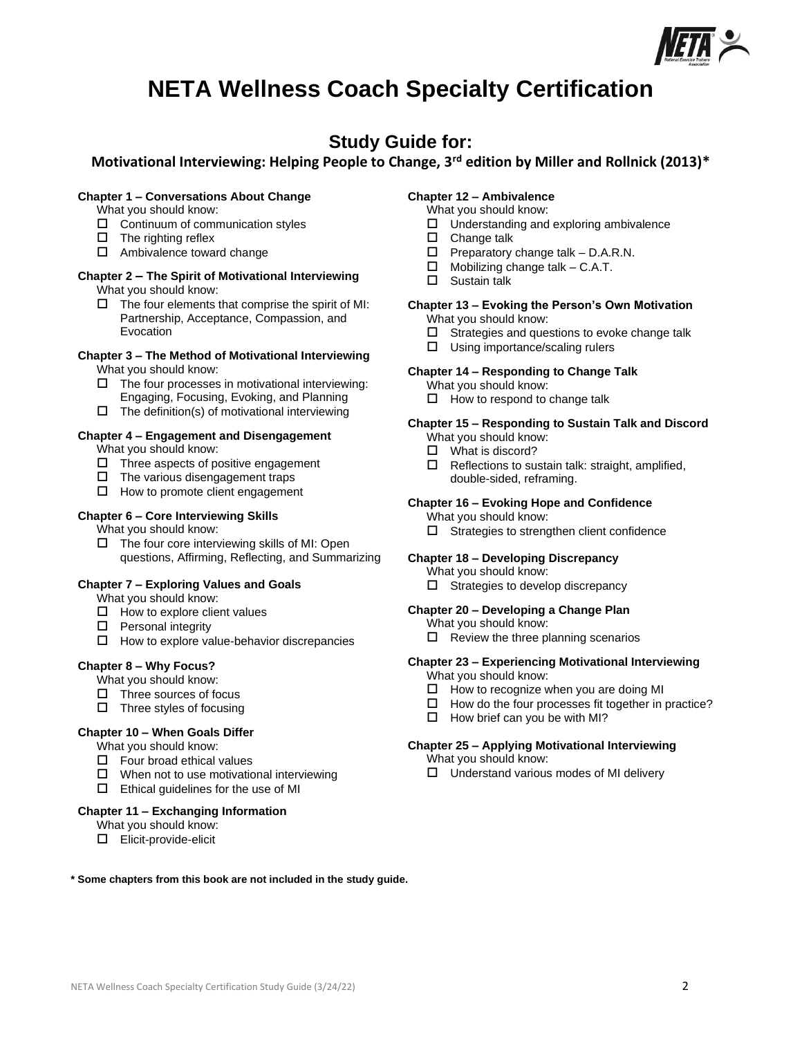

# **NETA Wellness Coach Specialty Certification**

## **Study Guide for:**

## **Motivational Interviewing: Helping People to Change, 3rd edition by Miller and Rollnick (2013)\***

### **Chapter 1 – Conversations About Change**

- What you should know:
- $\Box$  Continuum of communication styles
- $\Box$  The righting reflex
- $\Box$  Ambivalence toward change

#### **Chapter 2 – The Spirit of Motivational Interviewing** What you should know:

 $\square$  The four elements that comprise the spirit of MI: Partnership, Acceptance, Compassion, and **Evocation** 

#### **Chapter 3 – The Method of Motivational Interviewing** What you should know:

- $\Box$  The four processes in motivational interviewing: Engaging, Focusing, Evoking, and Planning
- $\square$  The definition(s) of motivational interviewing

## **Chapter 4 – Engagement and Disengagement**

What you should know:

- $\Box$  Three aspects of positive engagement
- $\Box$  The various disengagement traps
- $\Box$  How to promote client engagement

## **Chapter 6 – Core Interviewing Skills**

What you should know:

 $\Box$  The four core interviewing skills of MI: Open questions, Affirming, Reflecting, and Summarizing

### **Chapter 7 – Exploring Values and Goals**

- What you should know:
- $\Box$  How to explore client values
- $\square$  Personal integrity
- $\Box$  How to explore value-behavior discrepancies

### **Chapter 8 – Why Focus?**

What you should know:

- $\Box$  Three sources of focus
- $\Box$  Three styles of focusing

## **Chapter 10 – When Goals Differ**

What you should know:

- $\Box$  Four broad ethical values
- $\Box$  When not to use motivational interviewing
- $\square$  Ethical guidelines for the use of MI

## **Chapter 11 – Exchanging Information**

What you should know:

Elicit-provide-elicit

## **Chapter 12 – Ambivalence**

- What you should know:
- $\Box$  Understanding and exploring ambivalence
- □ Change talk
- $\Box$  Preparatory change talk D.A.R.N.
- $\Box$  Mobilizing change talk C.A.T.
- □ Sustain talk
- **Chapter 13 – Evoking the Person's Own Motivation**
	- What you should know:
	- $\square$  Strategies and questions to evoke change talk
	- $\square$  Using importance/scaling rulers

### **Chapter 14 – Responding to Change Talk**

- What you should know:
- $\Box$  How to respond to change talk

## **Chapter 15 – Responding to Sustain Talk and Discord**

What you should know:

- □ What is discord?
- $\Box$  Reflections to sustain talk: straight, amplified, double-sided, reframing.

## **Chapter 16 – Evoking Hope and Confidence**

What you should know:

 $\Box$  Strategies to strengthen client confidence

### **Chapter 18 – Developing Discrepancy**

What you should know:

 $\Box$  Strategies to develop discrepancy

## **Chapter 20 – Developing a Change Plan**

- What you should know:
	- $\Box$  Review the three planning scenarios

## **Chapter 23 – Experiencing Motivational Interviewing**

What you should know:

- $\Box$  How to recognize when you are doing MI
- $\Box$  How do the four processes fit together in practice?
- $\Box$  How brief can you be with MI?

### **Chapter 25 – Applying Motivational Interviewing**

- What you should know:
- $\Box$  Understand various modes of MI delivery

**\* Some chapters from this book are not included in the study guide.**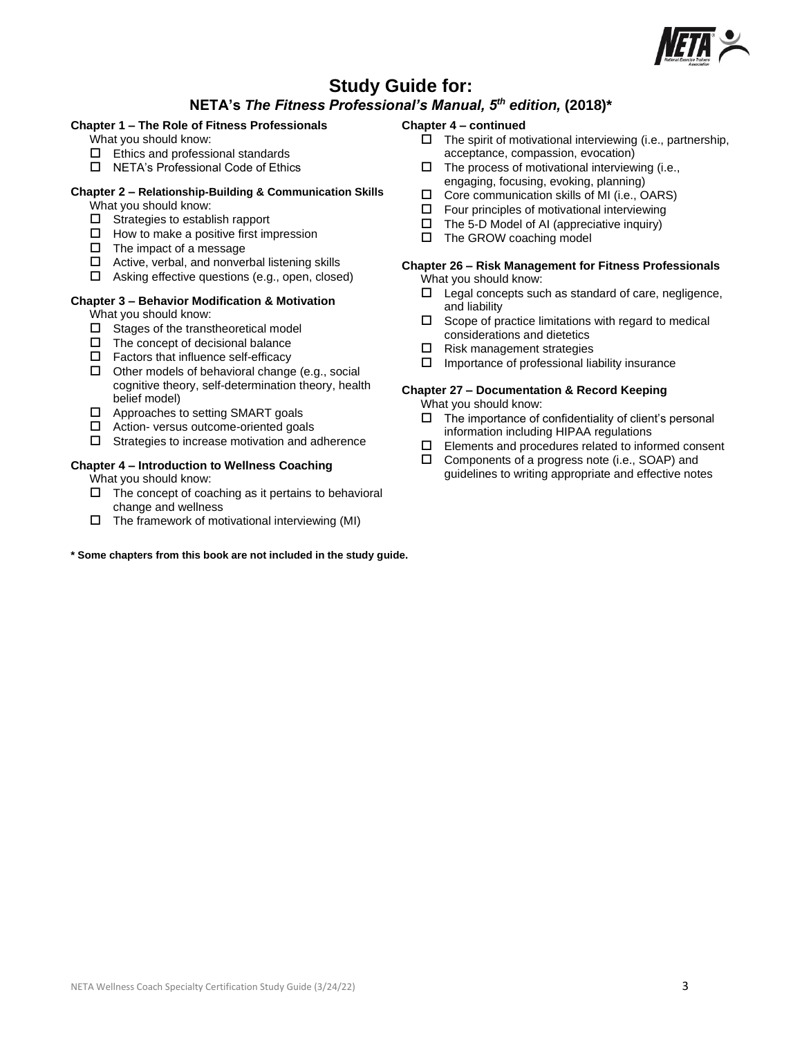

## **Study Guide for:**

## **NETA's** *The Fitness Professional's Manual, 5th edition,* **(2018)\***

## **Chapter 1 – The Role of Fitness Professionals**

What you should know:

- $\square$  Ethics and professional standards
- □ NETA's Professional Code of Ethics

#### **Chapter 2 – Relationship-Building & Communication Skills** What you should know:

- $\Box$  Strategies to establish rapport
- $\Box$  How to make a positive first impression
- $\Box$  The impact of a message
- $\Box$  Active, verbal, and nonverbal listening skills
- $\Box$  Asking effective questions (e.g., open, closed)

## **Chapter 3 – Behavior Modification & Motivation**

What you should know:

- $\square$  Stages of the transtheoretical model
- $\Box$  The concept of decisional balance
- $\Box$  Factors that influence self-efficacy
- $\Box$  Other models of behavioral change (e.g., social cognitive theory, self-determination theory, health belief model)
- $\Box$  Approaches to setting SMART goals
- □ Action- versus outcome-oriented goals
- $\Box$  Strategies to increase motivation and adherence

## **Chapter 4 – Introduction to Wellness Coaching**

What you should know:

- $\Box$  The concept of coaching as it pertains to behavioral change and wellness
- $\Box$  The framework of motivational interviewing (MI)

### **\* Some chapters from this book are not included in the study guide.**

#### **Chapter 4 – continued**

- $\Box$  The spirit of motivational interviewing (i.e., partnership, acceptance, compassion, evocation)
- $\Box$  The process of motivational interviewing (i.e.,
- engaging, focusing, evoking, planning)  $\square$  Core communication skills of MI (i.e., OARS)
- 
- $\square$  Four principles of motivational interviewing
- $\Box$  The 5-D Model of AI (appreciative inquiry)
- $\square$  The GROW coaching model

#### **Chapter 26 – Risk Management for Fitness Professionals** What you should know:

- $\Box$  Legal concepts such as standard of care, negligence, and liability
- $\square$  Scope of practice limitations with regard to medical considerations and dietetics
- $\Box$  Risk management strategies
- $\Box$  Importance of professional liability insurance

## **Chapter 27 – Documentation & Record Keeping**

- What you should know:
- $\Box$  The importance of confidentiality of client's personal information including HIPAA regulations
- $\square$  Elements and procedures related to informed consent
- $\square$  Components of a progress note (i.e., SOAP) and guidelines to writing appropriate and effective notes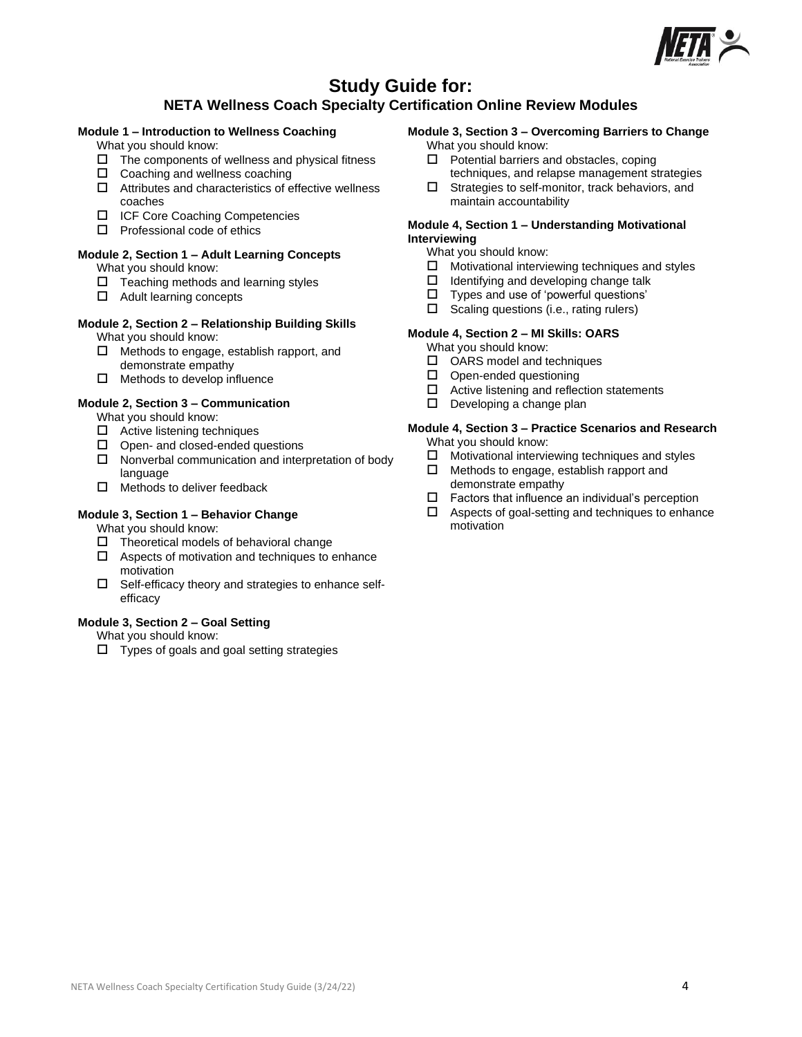

## **Study Guide for:**

## **NETA Wellness Coach Specialty Certification Online Review Modules**

## **Module 1 – Introduction to Wellness Coaching**

- What you should know:
- $\Box$  The components of wellness and physical fitness
- $\square$  Coaching and wellness coaching
- $\Box$  Attributes and characteristics of effective wellness coaches
- ICF Core Coaching Competencies
- $\square$  Professional code of ethics

## **Module 2, Section 1 – Adult Learning Concepts**

What you should know:

- $\Box$  Teaching methods and learning styles
- □ Adult learning concepts

## **Module 2, Section 2 – Relationship Building Skills**

- What you should know:
- $\Box$  Methods to engage, establish rapport, and demonstrate empathy
- $\Box$  Methods to develop influence

## **Module 2, Section 3 – Communication**

What you should know:

- $\Box$  Active listening techniques
- $\Box$  Open- and closed-ended questions
- $\Box$  Nonverbal communication and interpretation of body language
- $\Box$  Methods to deliver feedback

## **Module 3, Section 1 – Behavior Change**

What you should know:

- $\Box$  Theoretical models of behavioral change
- $\Box$  Aspects of motivation and techniques to enhance motivation
- $\square$  Self-efficacy theory and strategies to enhance selfefficacy

### **Module 3, Section 2 – Goal Setting**

What you should know:

 $\square$  Types of goals and goal setting strategies

#### **Module 3, Section 3 – Overcoming Barriers to Change** What you should know:

- $\Box$  Potential barriers and obstacles, coping
- techniques, and relapse management strategies  $\square$  Strategies to self-monitor, track behaviors, and maintain accountability

## **Module 4, Section 1 – Understanding Motivational Interviewing**

What you should know:

- $\square$  Motivational interviewing techniques and styles  $\square$  Identifying and developing change talk
- Identifying and developing change talk
- $\square$  Types and use of 'powerful questions'<br> $\square$  Scaling questions (i.e., rating rulers)
- Scaling questions (i.e., rating rulers)

### **Module 4, Section 2 – MI Skills: OARS**

What you should know:

- $\square$  OARS model and techniques
- $\Box$  Open-ended questioning
- $\Box$  Active listening and reflection statements
- $\square$  Developing a change plan

## **Module 4, Section 3 – Practice Scenarios and Research**

- What you should know:
- $\Box$  Motivational interviewing techniques and styles
- $\Box$  Methods to engage, establish rapport and demonstrate empathy
- $\Box$  Factors that influence an individual's perception
- $\Box$  Aspects of goal-setting and techniques to enhance motivation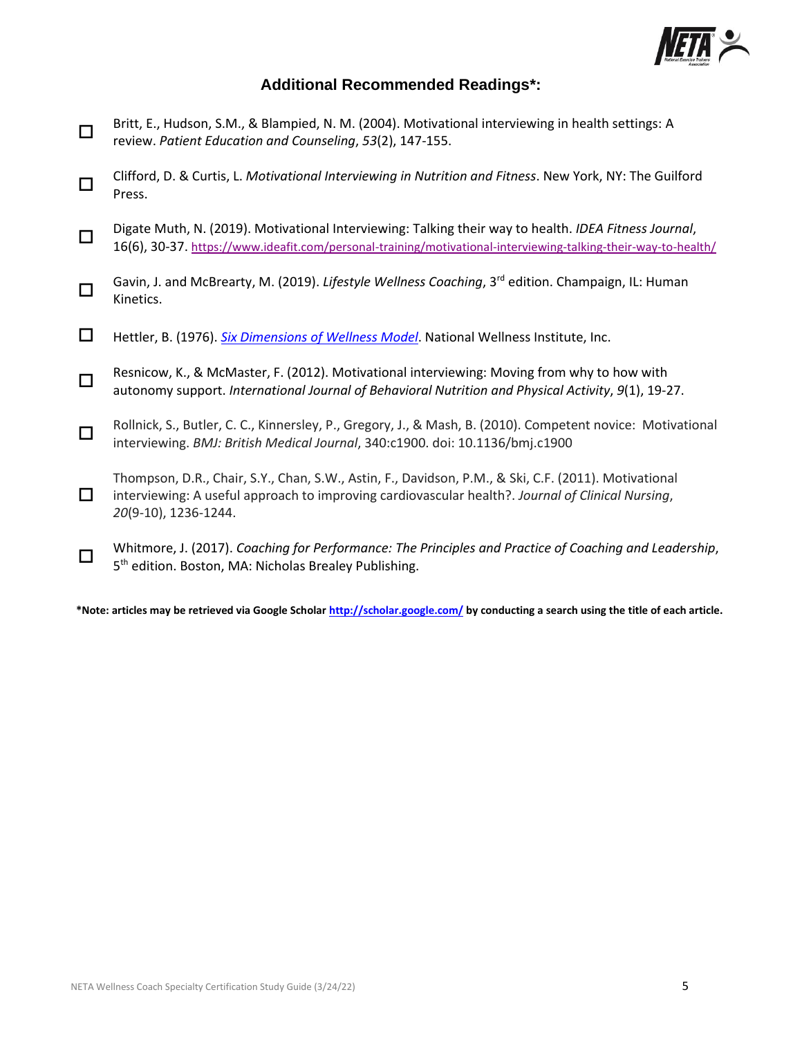

## **Additional Recommended Readings\*:**

- $\Box$ Britt, E., Hudson, S.M., & Blampied, N. M. (2004). Motivational interviewing in health settings: A review. *Patient Education and Counseling*, *53*(2), 147-155.
- $\Box$ Clifford, D. & Curtis, L. *Motivational Interviewing in Nutrition and Fitness*. New York, NY: The Guilford Press.
- $\Box$ Digate Muth, N. (2019). Motivational Interviewing: Talking their way to health. *IDEA Fitness Journal*, 16(6), 30-37. <https://www.ideafit.com/personal-training/motivational-interviewing-talking-their-way-to-health/>
- П. Gavin, J. and McBrearty, M. (2019). *Lifestyle Wellness Coaching*, 3rd edition. Champaign, IL: Human Kinetics.
- Hettler, B. (1976). *[Six Dimensions of Wellness Model](https://cdn.ymaws.com/members.nationalwellness.org/resource/resmgr/pdfs/sixdimensionsfactsheet.pdf?_ga=2.40966754.1151970587.1648151445-1254938386.1648151445)*. National Wellness Institute, Inc.
- $\Box$ Resnicow, K., & McMaster, F. (2012). Motivational interviewing: Moving from why to how with autonomy support. *International Journal of Behavioral Nutrition and Physical Activity*, *9*(1), 19-27.
- $\Box$ Rollnick, S., Butler, C. C., Kinnersley, P., Gregory, J., & Mash, B. (2010). Competent novice: Motivational interviewing. *BMJ: British Medical Journal*, 340:c1900. doi: 10.1136/bmj.c1900
- $\Box$ Thompson, D.R., Chair, S.Y., Chan, S.W., Astin, F., Davidson, P.M., & Ski, C.F. (2011). Motivational interviewing: A useful approach to improving cardiovascular health?. *Journal of Clinical Nursing*, *20*(9‐10), 1236-1244.
- 0 Whitmore, J. (2017). *Coaching for Performance: The Principles and Practice of Coaching and Leadership*, 5<sup>th</sup> edition. Boston, MA: Nicholas Brealey Publishing.

 **\*Note: articles may be retrieved via Google Schola[r http://scholar.google.com/](http://scholar.google.com/) by conducting a search using the title of each article.**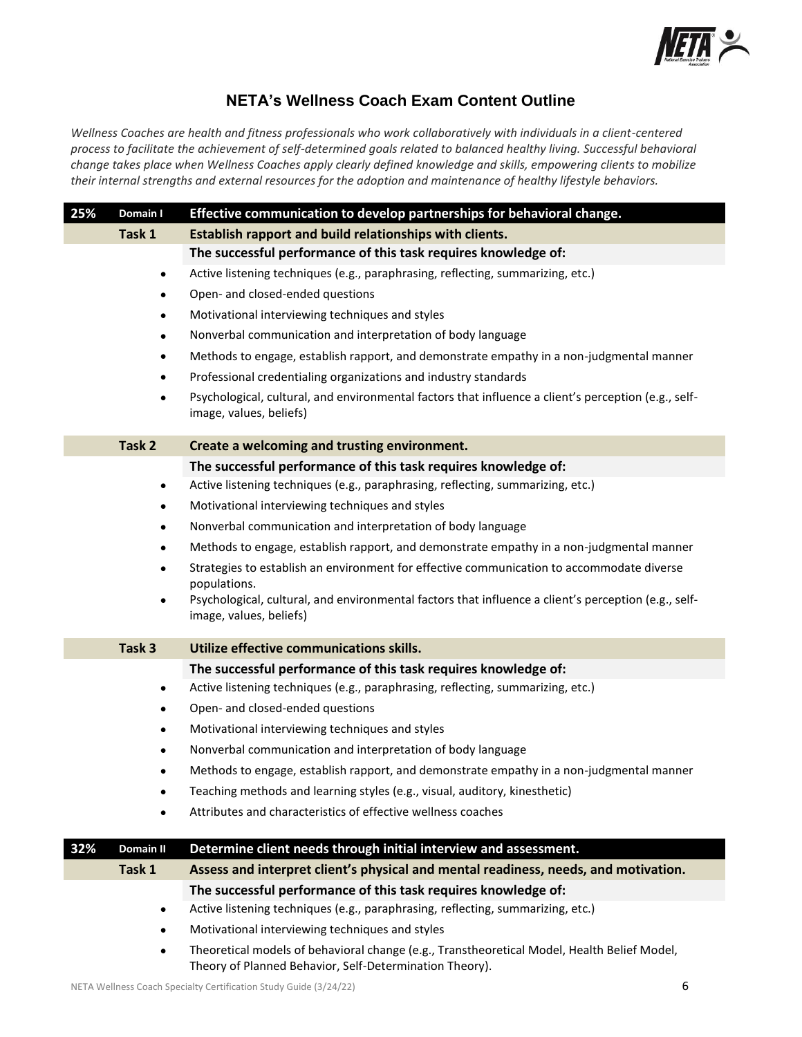

## **NETA's Wellness Coach Exam Content Outline**

*Wellness Coaches are health and fitness professionals who work collaboratively with individuals in a client-centered process to facilitate the achievement of self-determined goals related to balanced healthy living. Successful behavioral change takes place when Wellness Coaches apply clearly defined knowledge and skills, empowering clients to mobilize their internal strengths and external resources for the adoption and maintenance of healthy lifestyle behaviors.* 

| 25% | Domain I         | Effective communication to develop partnerships for behavioral change.                                                                                 |
|-----|------------------|--------------------------------------------------------------------------------------------------------------------------------------------------------|
|     | Task 1           | Establish rapport and build relationships with clients.                                                                                                |
|     |                  | The successful performance of this task requires knowledge of:                                                                                         |
|     | $\bullet$        | Active listening techniques (e.g., paraphrasing, reflecting, summarizing, etc.)                                                                        |
|     | $\bullet$        | Open- and closed-ended questions                                                                                                                       |
|     | $\bullet$        | Motivational interviewing techniques and styles                                                                                                        |
|     | $\bullet$        | Nonverbal communication and interpretation of body language                                                                                            |
|     | $\bullet$        | Methods to engage, establish rapport, and demonstrate empathy in a non-judgmental manner                                                               |
|     | $\bullet$        | Professional credentialing organizations and industry standards                                                                                        |
|     | $\bullet$        | Psychological, cultural, and environmental factors that influence a client's perception (e.g., self-<br>image, values, beliefs)                        |
|     | Task 2           | Create a welcoming and trusting environment.                                                                                                           |
|     |                  | The successful performance of this task requires knowledge of:                                                                                         |
|     | $\bullet$        | Active listening techniques (e.g., paraphrasing, reflecting, summarizing, etc.)                                                                        |
|     | $\bullet$        | Motivational interviewing techniques and styles                                                                                                        |
|     | $\bullet$        | Nonverbal communication and interpretation of body language                                                                                            |
|     | $\bullet$        | Methods to engage, establish rapport, and demonstrate empathy in a non-judgmental manner                                                               |
|     |                  | Strategies to establish an environment for effective communication to accommodate diverse                                                              |
|     | $\bullet$        | populations.<br>Psychological, cultural, and environmental factors that influence a client's perception (e.g., self-<br>image, values, beliefs)        |
|     |                  |                                                                                                                                                        |
|     | Task 3           | Utilize effective communications skills.                                                                                                               |
|     |                  | The successful performance of this task requires knowledge of:                                                                                         |
|     | $\bullet$        | Active listening techniques (e.g., paraphrasing, reflecting, summarizing, etc.)                                                                        |
|     | $\bullet$        | Open- and closed-ended questions                                                                                                                       |
|     | $\bullet$        | Motivational interviewing techniques and styles                                                                                                        |
|     | $\bullet$        | Nonverbal communication and interpretation of body language                                                                                            |
|     | ٠                | Methods to engage, establish rapport, and demonstrate empathy in a non-judgmental manner                                                               |
|     |                  | Teaching methods and learning styles (e.g., visual, auditory, kinesthetic)                                                                             |
|     |                  | Attributes and characteristics of effective wellness coaches                                                                                           |
| 32% | <b>Domain II</b> | Determine client needs through initial interview and assessment.                                                                                       |
|     | Task 1           | Assess and interpret client's physical and mental readiness, needs, and motivation.                                                                    |
|     |                  | The successful performance of this task requires knowledge of:                                                                                         |
|     | $\bullet$        | Active listening techniques (e.g., paraphrasing, reflecting, summarizing, etc.)                                                                        |
|     | $\bullet$        | Motivational interviewing techniques and styles                                                                                                        |
|     | ٠                | Theoretical models of behavioral change (e.g., Transtheoretical Model, Health Belief Model,<br>Theory of Planned Behavior, Self-Determination Theory). |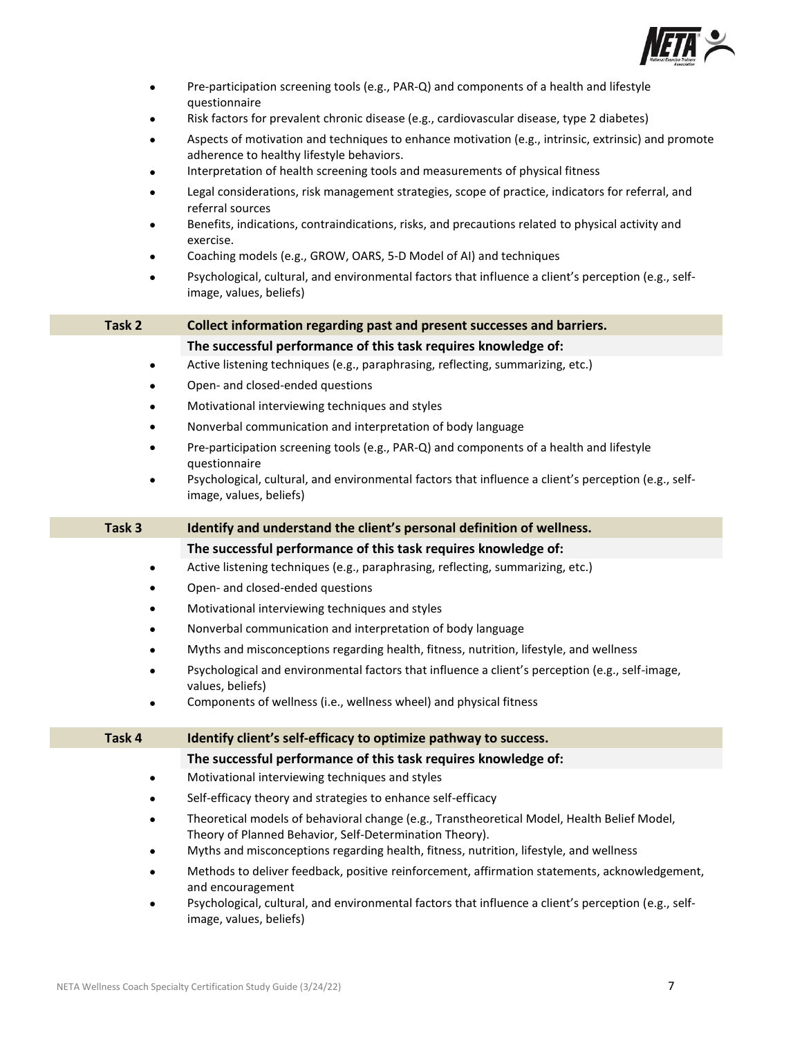

| $\bullet$ | Pre-participation screening tools (e.g., PAR-Q) and components of a health and lifestyle<br>questionnaire                                                                                                                  |
|-----------|----------------------------------------------------------------------------------------------------------------------------------------------------------------------------------------------------------------------------|
|           | Risk factors for prevalent chronic disease (e.g., cardiovascular disease, type 2 diabetes)                                                                                                                                 |
|           | Aspects of motivation and techniques to enhance motivation (e.g., intrinsic, extrinsic) and promote<br>adherence to healthy lifestyle behaviors.                                                                           |
|           | Interpretation of health screening tools and measurements of physical fitness                                                                                                                                              |
|           | Legal considerations, risk management strategies, scope of practice, indicators for referral, and<br>referral sources                                                                                                      |
|           | Benefits, indications, contraindications, risks, and precautions related to physical activity and<br>exercise.                                                                                                             |
|           | Coaching models (e.g., GROW, OARS, 5-D Model of AI) and techniques                                                                                                                                                         |
|           | Psychological, cultural, and environmental factors that influence a client's perception (e.g., self-<br>image, values, beliefs)                                                                                            |
| Task 2    | Collect information regarding past and present successes and barriers.                                                                                                                                                     |
|           | The successful performance of this task requires knowledge of:                                                                                                                                                             |
| ٠         | Active listening techniques (e.g., paraphrasing, reflecting, summarizing, etc.)                                                                                                                                            |
| ٠         | Open- and closed-ended questions                                                                                                                                                                                           |
|           | Motivational interviewing techniques and styles                                                                                                                                                                            |
|           | Nonverbal communication and interpretation of body language                                                                                                                                                                |
| $\bullet$ | Pre-participation screening tools (e.g., PAR-Q) and components of a health and lifestyle<br>questionnaire                                                                                                                  |
| $\bullet$ | Psychological, cultural, and environmental factors that influence a client's perception (e.g., self-<br>image, values, beliefs)                                                                                            |
|           |                                                                                                                                                                                                                            |
| Task 3    | Identify and understand the client's personal definition of wellness.                                                                                                                                                      |
|           | The successful performance of this task requires knowledge of:                                                                                                                                                             |
|           | Active listening techniques (e.g., paraphrasing, reflecting, summarizing, etc.)                                                                                                                                            |
| $\bullet$ | Open- and closed-ended questions                                                                                                                                                                                           |
|           | Motivational interviewing techniques and styles                                                                                                                                                                            |
| $\bullet$ | Nonverbal communication and interpretation of body language                                                                                                                                                                |
|           | Myths and misconceptions regarding health, fitness, nutrition, lifestyle, and wellness                                                                                                                                     |
|           | Psychological and environmental factors that influence a client's perception (e.g., self-image,<br>values, beliefs)                                                                                                        |
|           | Components of wellness (i.e., wellness wheel) and physical fitness                                                                                                                                                         |
| Task 4    | Identify client's self-efficacy to optimize pathway to success.                                                                                                                                                            |
|           | The successful performance of this task requires knowledge of:                                                                                                                                                             |
| $\bullet$ | Motivational interviewing techniques and styles                                                                                                                                                                            |
|           | Self-efficacy theory and strategies to enhance self-efficacy                                                                                                                                                               |
|           | Theoretical models of behavioral change (e.g., Transtheoretical Model, Health Belief Model,<br>Theory of Planned Behavior, Self-Determination Theory).                                                                     |
|           | Myths and misconceptions regarding health, fitness, nutrition, lifestyle, and wellness                                                                                                                                     |
|           | Methods to deliver feedback, positive reinforcement, affirmation statements, acknowledgement,<br>and encouragement<br>Psychological, cultural, and environmental factors that influence a client's perception (e.g., self- |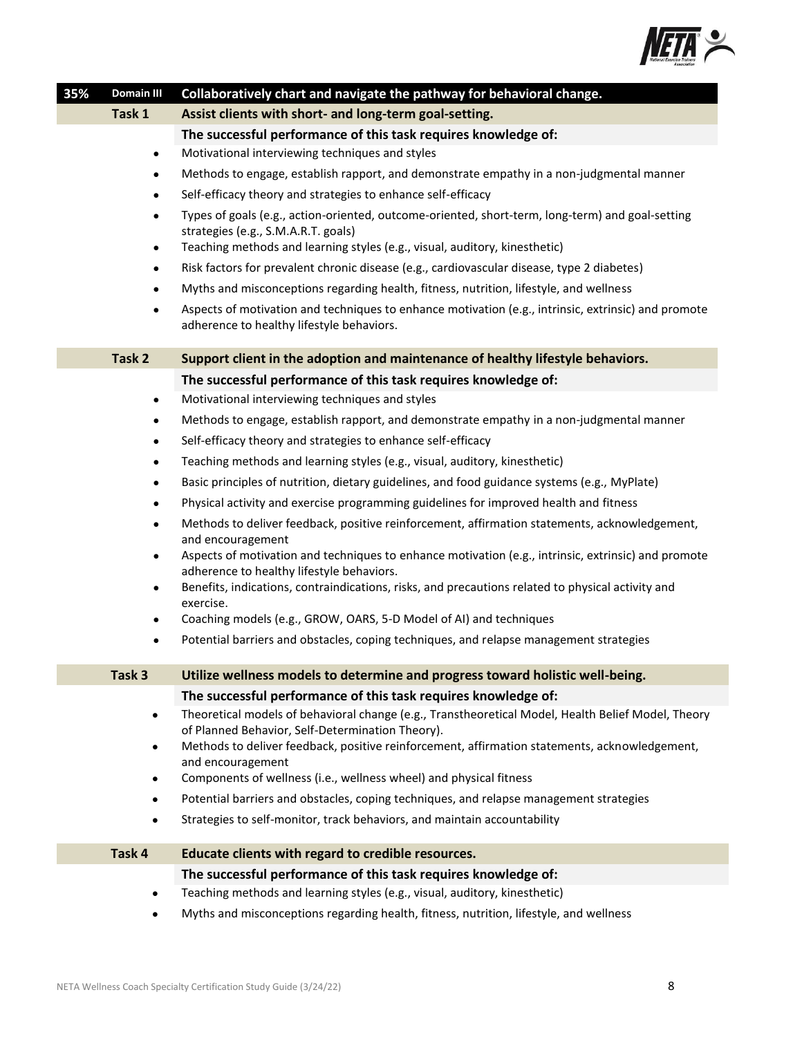

| 35% | <b>Domain III</b>      | Collaboratively chart and navigate the pathway for behavioral change.                                                                                                                                                 |
|-----|------------------------|-----------------------------------------------------------------------------------------------------------------------------------------------------------------------------------------------------------------------|
|     | Task 1                 | Assist clients with short- and long-term goal-setting.                                                                                                                                                                |
|     |                        | The successful performance of this task requires knowledge of:                                                                                                                                                        |
|     | $\bullet$              | Motivational interviewing techniques and styles                                                                                                                                                                       |
|     | $\bullet$              | Methods to engage, establish rapport, and demonstrate empathy in a non-judgmental manner                                                                                                                              |
|     | $\bullet$              | Self-efficacy theory and strategies to enhance self-efficacy                                                                                                                                                          |
|     | $\bullet$<br>$\bullet$ | Types of goals (e.g., action-oriented, outcome-oriented, short-term, long-term) and goal-setting<br>strategies (e.g., S.M.A.R.T. goals)<br>Teaching methods and learning styles (e.g., visual, auditory, kinesthetic) |
|     | $\bullet$              | Risk factors for prevalent chronic disease (e.g., cardiovascular disease, type 2 diabetes)                                                                                                                            |
|     | $\bullet$              | Myths and misconceptions regarding health, fitness, nutrition, lifestyle, and wellness                                                                                                                                |
|     | $\bullet$              | Aspects of motivation and techniques to enhance motivation (e.g., intrinsic, extrinsic) and promote                                                                                                                   |
|     | Task 2                 | adherence to healthy lifestyle behaviors.<br>Support client in the adoption and maintenance of healthy lifestyle behaviors.                                                                                           |
|     |                        | The successful performance of this task requires knowledge of:                                                                                                                                                        |
|     | $\bullet$              | Motivational interviewing techniques and styles                                                                                                                                                                       |
|     | $\bullet$              | Methods to engage, establish rapport, and demonstrate empathy in a non-judgmental manner                                                                                                                              |
|     | $\bullet$              | Self-efficacy theory and strategies to enhance self-efficacy                                                                                                                                                          |
|     | $\bullet$              | Teaching methods and learning styles (e.g., visual, auditory, kinesthetic)                                                                                                                                            |
|     | $\bullet$              | Basic principles of nutrition, dietary guidelines, and food guidance systems (e.g., MyPlate)                                                                                                                          |
|     |                        | Physical activity and exercise programming guidelines for improved health and fitness                                                                                                                                 |
|     |                        | Methods to deliver feedback, positive reinforcement, affirmation statements, acknowledgement,<br>and encouragement                                                                                                    |
|     | $\bullet$              | Aspects of motivation and techniques to enhance motivation (e.g., intrinsic, extrinsic) and promote<br>adherence to healthy lifestyle behaviors.                                                                      |
|     | ٠                      | Benefits, indications, contraindications, risks, and precautions related to physical activity and<br>exercise.                                                                                                        |
|     |                        | Coaching models (e.g., GROW, OARS, 5-D Model of AI) and techniques                                                                                                                                                    |
|     | $\bullet$              | Potential barriers and obstacles, coping techniques, and relapse management strategies                                                                                                                                |
|     | Task 3                 | Utilize wellness models to determine and progress toward holistic well-being.                                                                                                                                         |
|     |                        | The successful performance of this task requires knowledge of:                                                                                                                                                        |
|     | $\bullet$              | Theoretical models of behavioral change (e.g., Transtheoretical Model, Health Belief Model, Theory                                                                                                                    |
|     | ٠                      | of Planned Behavior, Self-Determination Theory).<br>Methods to deliver feedback, positive reinforcement, affirmation statements, acknowledgement,                                                                     |
|     |                        | and encouragement                                                                                                                                                                                                     |
|     | ٠                      | Components of wellness (i.e., wellness wheel) and physical fitness                                                                                                                                                    |
|     | $\bullet$              | Potential barriers and obstacles, coping techniques, and relapse management strategies                                                                                                                                |
|     | $\bullet$              | Strategies to self-monitor, track behaviors, and maintain accountability                                                                                                                                              |
|     | Task 4                 | Educate clients with regard to credible resources.                                                                                                                                                                    |
|     |                        | The successful performance of this task requires knowledge of:                                                                                                                                                        |
|     | ٠                      | Teaching methods and learning styles (e.g., visual, auditory, kinesthetic)                                                                                                                                            |
|     | ٠                      | Myths and misconceptions regarding health, fitness, nutrition, lifestyle, and wellness                                                                                                                                |